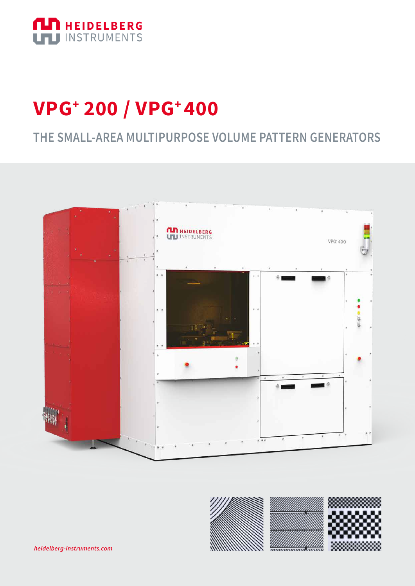

## **VPG+ 200 / VPG+ 400**

### **THE SMALL-AREA MULTIPURPOSE VOLUME PATTERN GENERATORS**



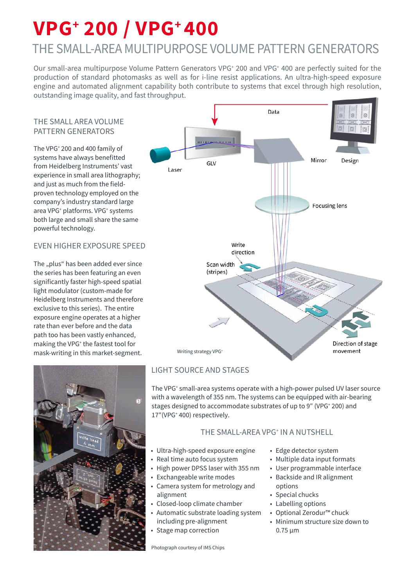# **VPG+ 200 / VPG+ 400**

### THE SMALL-AREA MULTIPURPOSE VOLUME PATTERN GENERATORS

Our small-area multipurpose Volume Pattern Generators VPG<sup>+</sup> 200 and VPG<sup>+</sup> 400 are perfectly suited for the production of standard photomasks as well as for i-line resist applications. An ultra-high-speed exposure engine and automated alignment capability both contribute to systems that excel through high resolution, outstanding image quality, and fast throughput.

#### THE SMALL AREA VOLUME PATTERN GENERATORS

The VPG+ 200 and 400 family of systems have always benefitted from Heidelberg Instruments' vast experience in small area lithography; and just as much from the fieldproven technology employed on the company's industry standard large area VPG<sup>+</sup> platforms. VPG<sup>+</sup> systems both large and small share the same powerful technology.

#### EVEN HIGHER EXPOSURE SPEED

The "plus" has been added ever since the series has been featuring an even significantly faster high-speed spatial light modulator (custom-made for Heidelberg Instruments and therefore exclusive to this series). The entire exposure engine operates at a higher rate than ever before and the data path too has been vastly enhanced, making the VPG+ the fastest tool for mask-writing in this market-segment.





#### LIGHT SOURCE AND STAGES

The VPG<sup>+</sup> small-area systems operate with a high-power pulsed UV laser source with a wavelength of 355 nm. The systems can be equipped with air-bearing stages designed to accommodate substrates of up to 9" (VPG+ 200) and 17″(VPG<sup>+</sup> 400) respectively.

#### THE SMALL-AREA VPG+ IN A NUTSHELL

- Ultra-high-speed exposure engine
- Real time auto focus system
- High power DPSS laser with 355 nm
- Exchangeable write modes
- Camera system for metrology and alignment
- Closed-loop climate chamber
- Automatic substrate loading system including pre-alignment
- Stage map correction

Photograph courtesy of IMS Chips

- Edge detector system
- Multiple data input formats
- User programmable interface
- Backside and IR alignment options
- Special chucks
- Labelling options
- Optional Zerodur™ chuck
- Minimum structure size down to 0.75 µm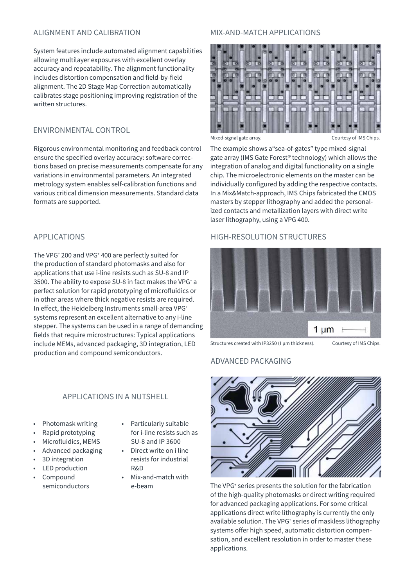#### ALIGNMENT AND CALIBRATION

System features include automated alignment capabilities allowing multilayer exposures with excellent overlay accuracy and repeatability. The alignment functionality includes distortion compensation and field-by-field alignment. The 2D Stage Map Correction automatically calibrates stage positioning improving registration of the written structures.

#### ENVIRONMENTAL CONTROL

Rigorous environmental monitoring and feedback control ensure the specified overlay accuracy: software corrections based on precise measurements compensate for any variations in environmental parameters. An integrated metrology system enables self-calibration functions and various critical dimension measurements. Standard data formats are supported.

#### APPLICATIONS

The VPG+ 200 and VPG+ 400 are perfectly suited for the production of standard photomasks and also for applications that use i-line resists such as SU-8 and IP 3500. The ability to expose SU-8 in fact makes the VPG<sup>+</sup> a perfect solution for rapid prototyping of microfluidics or in other areas where thick negative resists are required. In effect, the Heidelberg Instruments small-area VPG+ systems represent an excellent alternative to any i-line stepper. The systems can be used in a range of demanding fields that require microstructures: Typical applications include MEMs, advanced packaging, 3D integration, LED production and compound semiconductors.

#### APPLICATIONS IN A NUTSHELL

- Photomask writing
- Rapid prototyping
- Microfluidics, MEMS
- Advanced packaging
- 3D integration
- LED production
- Compound semiconductors
- Particularly suitable for i-line resists such as SU-8 and IP 3600
- Direct write on i line resists for industrial R&D
- Mix-and-match with e-beam

#### MIX-AND-MATCH APPLICATIONS



Mixed-signal gate array. The courtesy of IMS Chips.

The example shows a"sea-of-gates" type mixed-signal gate array (IMS Gate Forest® technology) which allows the integration of analog and digital functionality on a single chip. The microelectronic elements on the master can be individually configured by adding the respective contacts. In a Mix&Match-approach, IMS Chips fabricated the CMOS masters by stepper lithography and added the personalized contacts and metallization layers with direct write laser lithography, using a VPG 400.

#### HIGH-RESOLUTION STRUCTURES



Structures created with IP3250 (1 μm thickness). Courtesy of IMS Chips.

#### ADVANCED PACKAGING



The VPG<sup>+</sup> series presents the solution for the fabrication of the high-quality photomasks or direct writing required for advanced packaging applications. For some critical applications direct write lithography is currently the only available solution. The VPG<sup>+</sup> series of maskless lithography systems offer high speed, automatic distortion compensation, and excellent resolution in order to master these applications.